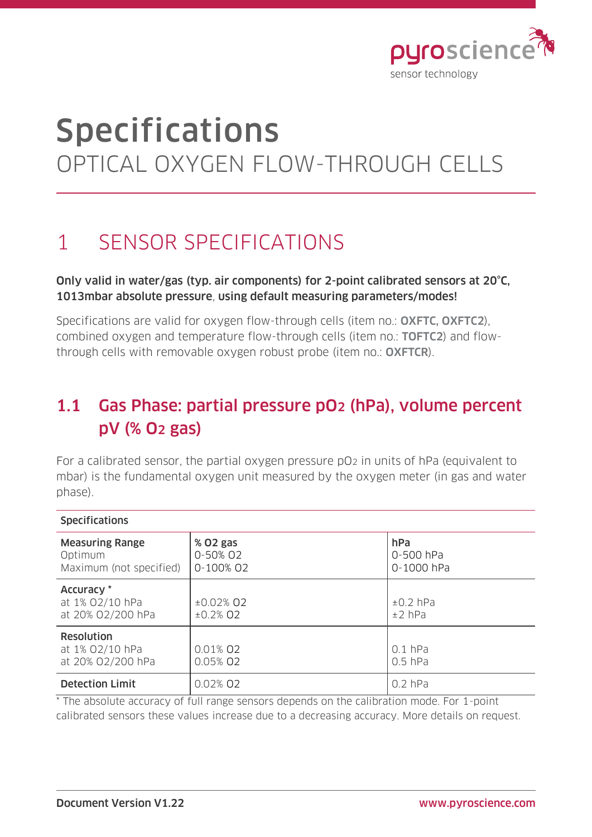

# Specifications OPTICAL OXYGEN FLOW-THROUGH CELLS

# 1 SENSOR SPECIFICATIONS

#### Only valid in water/gas (typ. air components) for 2-point calibrated sensors at 20°C, 1013mbar absolute pressure, using default measuring parameters/modes!

Specifications are valid for oxygen flow-through cells (item no.: OXFTC, OXFTC2). combined oxygen and temperature flow-through cells (item no.: TOFTC2) and flowthrough cells with removable oxygen robust probe (item no.: OXFTCR).

### 1.1 Gas Phase: partial pressure pO2 (hPa), volume percent pV (% O2 gas)

For a calibrated sensor, the partial oxygen pressure pO<sub>2</sub> in units of hPa (equivalent to mbar) is the fundamental oxygen unit measured by the oxygen meter (in gas and water phase).

| <b>Specifications</b>                                        |                                   |                                |
|--------------------------------------------------------------|-----------------------------------|--------------------------------|
| <b>Measuring Range</b><br>Optimum<br>Maximum (not specified) | % 02 gas<br>0-50% 02<br>0-100% 02 | hPa<br>0-500 hPa<br>0-1000 hPa |
| Accuracy *<br>at 1% 02/10 hPa<br>at 20% 02/200 hPa           | $±0.02%$ Q2<br>$±0.2\%$ O2        | $±0.2$ hPa<br>$±2$ hPa         |
| <b>Resolution</b><br>at 1% 02/10 hPa<br>at 20% 02/200 hPa    | 0.01% 02<br>0.05% 02              | $0.1$ hPa<br>$0.5$ hPa         |
| <b>Detection Limit</b>                                       | 0.02% 02                          | $0.2$ hPa                      |

\* The absolute accuracy of full range sensors depends on the calibration mode. For 1-point calibrated sensors these values increase due to a decreasing accuracy. More details on request.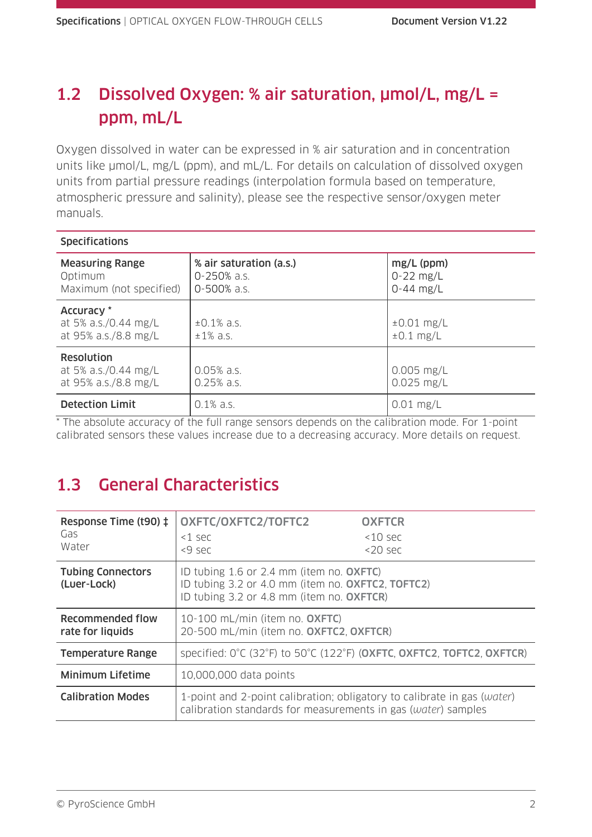### 1.2 Dissolved Oxygen: % air saturation, µmol/L, mg/L = ppm, mL/L

Oxygen dissolved in water can be expressed in % air saturation and in concentration units like  $\mu$ mol/L, mg/L (ppm), and mL/L. For details on calculation of dissolved oxygen units from partial pressure readings (interpolation formula based on temperature, atmospheric pressure and salinity), please see the respective sensor/oxygen meter manuals.

| <b>Specifications</b>                                             |                                                       |                                            |
|-------------------------------------------------------------------|-------------------------------------------------------|--------------------------------------------|
| <b>Measuring Range</b><br>Optimum<br>Maximum (not specified)      | % air saturation (a.s.)<br>0-250% a.s.<br>0-500% a.s. | $mg/L$ (ppm)<br>$0-22$ mg/L<br>$0-44$ mg/L |
| Accuracy *<br>at 5% a.s./0.44 mg/L<br>at 95% a.s./8.8 mg/L        | $\pm 0.1\%$ a.s.<br>$±1\%$ a.s.                       | $\pm 0.01$ mg/L<br>$\pm 0.1$ mg/L          |
| <b>Resolution</b><br>at 5% a.s./0.44 mg/L<br>at 95% a.s./8.8 mg/L | $0.05%$ a.s.<br>$0.25%$ a.s.                          | $0.005$ mg/L<br>$0.025$ mg/L               |
| <b>Detection Limit</b>                                            | $0.1\%$ a.s.                                          | $0.01$ mg/L                                |

\* The absolute accuracy of the full range sensors depends on the calibration mode. For 1-point calibrated sensors these values increase due to a decreasing accuracy. More details on request.

### 1.3 General Characteristics

| Response Time (t90) ‡<br>Gas<br>Water   | OXFTC/OXFTC2/TOFTC2<br>k1 sec<br><9 sec                                                                                                    | <b>OXFTCR</b><br>$10$ sec<br>$<$ 20 sec |
|-----------------------------------------|--------------------------------------------------------------------------------------------------------------------------------------------|-----------------------------------------|
| <b>Tubing Connectors</b><br>(Luer-Lock) | ID tubing 1.6 or 2.4 mm (item no. OXFTC)<br>ID tubing 3.2 or 4.0 mm (item no. OXFTC2, TOFTC2)<br>ID tubing 3.2 or 4.8 mm (item no. OXFTCR) |                                         |
| Recommended flow<br>rate for liquids    | 10-100 mL/min (item no. OXFTC)<br>20-500 mL/min (item no. OXFTC2, OXFTCR)                                                                  |                                         |
| <b>Temperature Range</b>                | specified: $0^{\circ}$ C (32 $^{\circ}$ F) to 50 $^{\circ}$ C (122 $^{\circ}$ F) (OXFTC, OXFTC2, TOFTC2, OXFTCR)                           |                                         |
| <b>Minimum Lifetime</b>                 | 10,000,000 data points                                                                                                                     |                                         |
| <b>Calibration Modes</b>                | 1-point and 2-point calibration; obligatory to calibrate in gas (water)<br>calibration standards for measurements in gas (water) samples   |                                         |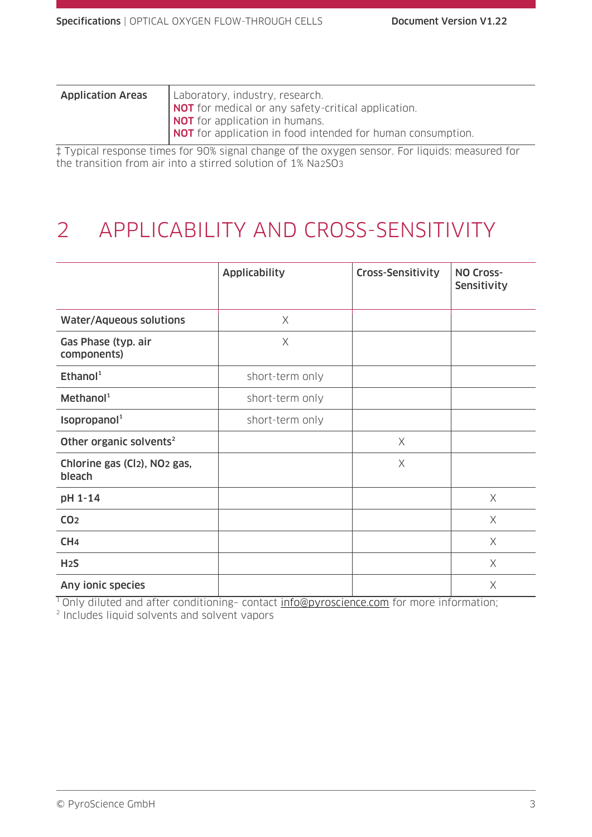| <b>Application Areas</b> | Laboratory, industry, research.                             |
|--------------------------|-------------------------------------------------------------|
|                          | NOT for medical or any safety-critical application.         |
|                          | NOT for application in humans.                              |
|                          | NOT for application in food intended for human consumption. |
|                          |                                                             |

‡ Typical response times for 90% signal change of the oxygen sensor. For liquids: measured for the transition from air into a stirred solution of 1% Na2SO3

# 2 APPLICABILITY AND CROSS-SENSITIVITY

|                                                    | <b>Applicability</b> | Cross-Sensitivity | <b>NO Cross-</b><br>Sensitivity |
|----------------------------------------------------|----------------------|-------------------|---------------------------------|
| <b>Water/Aqueous solutions</b>                     | $\times$             |                   |                                 |
| Gas Phase (typ. air<br>components)                 | X                    |                   |                                 |
| Ethanol <sup>1</sup>                               | short-term only      |                   |                                 |
| Method <sup>1</sup>                                | short-term only      |                   |                                 |
| Isopropanol <sup>1</sup>                           | short-term only      |                   |                                 |
| Other organic solvents <sup>2</sup>                |                      | $\times$          |                                 |
| Chlorine gas (Cl2), NO <sub>2</sub> gas,<br>bleach |                      | X                 |                                 |
| pH 1-14                                            |                      |                   | X                               |
| CO <sub>2</sub>                                    |                      |                   | $\times$                        |
| CH <sub>4</sub>                                    |                      |                   | $\times$                        |
| H <sub>2</sub> S                                   |                      |                   | $\times$                        |
| Any ionic species                                  |                      |                   | $\times$                        |

<sup>1</sup> Only diluted and after conditioning- contact [info@pyroscience.com](mailto:info@pyroscience.com) for more information;

2 Includes liquid solvents and solvent vapors